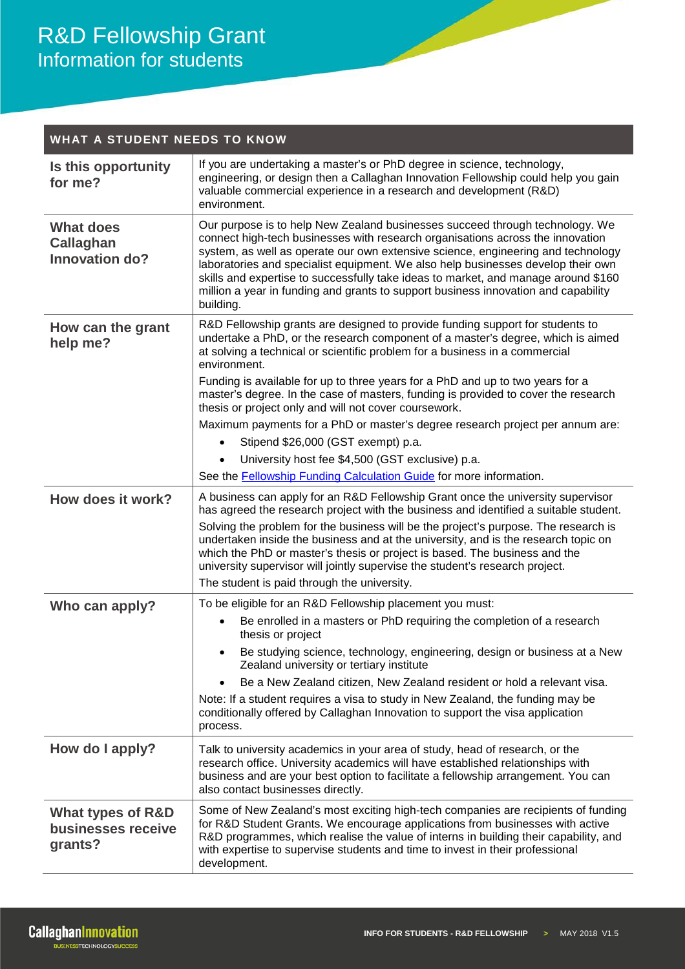| <b>WHAT A STUDENT NEEDS TO KNOW</b>                           |                                                                                                                                                                                                                                                                                                                                                                                                                                                                                                                                 |
|---------------------------------------------------------------|---------------------------------------------------------------------------------------------------------------------------------------------------------------------------------------------------------------------------------------------------------------------------------------------------------------------------------------------------------------------------------------------------------------------------------------------------------------------------------------------------------------------------------|
| Is this opportunity<br>for me?                                | If you are undertaking a master's or PhD degree in science, technology,<br>engineering, or design then a Callaghan Innovation Fellowship could help you gain<br>valuable commercial experience in a research and development (R&D)<br>environment.                                                                                                                                                                                                                                                                              |
| <b>What does</b><br><b>Callaghan</b><br>Innovation do?        | Our purpose is to help New Zealand businesses succeed through technology. We<br>connect high-tech businesses with research organisations across the innovation<br>system, as well as operate our own extensive science, engineering and technology<br>laboratories and specialist equipment. We also help businesses develop their own<br>skills and expertise to successfully take ideas to market, and manage around \$160<br>million a year in funding and grants to support business innovation and capability<br>building. |
| How can the grant<br>help me?                                 | R&D Fellowship grants are designed to provide funding support for students to<br>undertake a PhD, or the research component of a master's degree, which is aimed<br>at solving a technical or scientific problem for a business in a commercial<br>environment.                                                                                                                                                                                                                                                                 |
|                                                               | Funding is available for up to three years for a PhD and up to two years for a<br>master's degree. In the case of masters, funding is provided to cover the research<br>thesis or project only and will not cover coursework.                                                                                                                                                                                                                                                                                                   |
|                                                               | Maximum payments for a PhD or master's degree research project per annum are:                                                                                                                                                                                                                                                                                                                                                                                                                                                   |
|                                                               | Stipend \$26,000 (GST exempt) p.a.                                                                                                                                                                                                                                                                                                                                                                                                                                                                                              |
|                                                               | University host fee \$4,500 (GST exclusive) p.a.                                                                                                                                                                                                                                                                                                                                                                                                                                                                                |
|                                                               | See the <b>Fellowship Funding Calculation Guide</b> for more information.                                                                                                                                                                                                                                                                                                                                                                                                                                                       |
| How does it work?                                             | A business can apply for an R&D Fellowship Grant once the university supervisor<br>has agreed the research project with the business and identified a suitable student.                                                                                                                                                                                                                                                                                                                                                         |
|                                                               | Solving the problem for the business will be the project's purpose. The research is<br>undertaken inside the business and at the university, and is the research topic on<br>which the PhD or master's thesis or project is based. The business and the<br>university supervisor will jointly supervise the student's research project.                                                                                                                                                                                         |
|                                                               | The student is paid through the university.                                                                                                                                                                                                                                                                                                                                                                                                                                                                                     |
| Who can apply?                                                | To be eligible for an R&D Fellowship placement you must:                                                                                                                                                                                                                                                                                                                                                                                                                                                                        |
|                                                               | Be enrolled in a masters or PhD requiring the completion of a research<br>thesis or project                                                                                                                                                                                                                                                                                                                                                                                                                                     |
|                                                               | Be studying science, technology, engineering, design or business at a New<br>Zealand university or tertiary institute                                                                                                                                                                                                                                                                                                                                                                                                           |
|                                                               | Be a New Zealand citizen, New Zealand resident or hold a relevant visa.                                                                                                                                                                                                                                                                                                                                                                                                                                                         |
|                                                               | Note: If a student requires a visa to study in New Zealand, the funding may be<br>conditionally offered by Callaghan Innovation to support the visa application<br>process.                                                                                                                                                                                                                                                                                                                                                     |
| How do I apply?                                               | Talk to university academics in your area of study, head of research, or the<br>research office. University academics will have established relationships with<br>business and are your best option to facilitate a fellowship arrangement. You can<br>also contact businesses directly.                                                                                                                                                                                                                                        |
| <b>What types of R&amp;D</b><br>businesses receive<br>grants? | Some of New Zealand's most exciting high-tech companies are recipients of funding<br>for R&D Student Grants. We encourage applications from businesses with active<br>R&D programmes, which realise the value of interns in building their capability, and<br>with expertise to supervise students and time to invest in their professional<br>development.                                                                                                                                                                     |